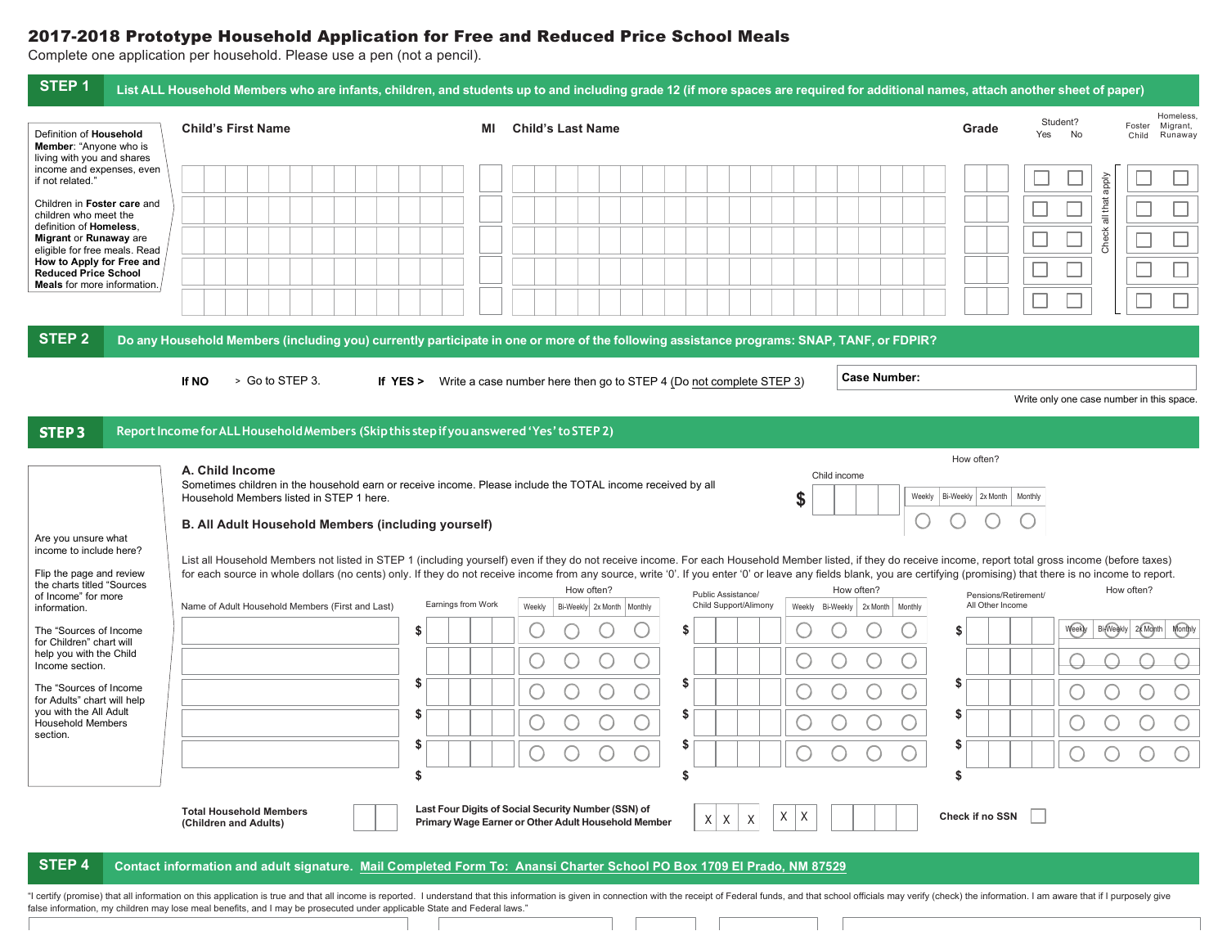## 2017-2018 Prototype Household Application for Free and Reduced Price School Meals

Complete one application per household. Please use a pen (not a pencil).

| STEP <sub>1</sub>                                                                                                        |                                                                                                                                                                                                                                                          | List ALL Household Members who are infants, children, and students up to and including grade 12 (if more spaces are required for additional names, attach another sheet of paper)                                                                                                                                                                                                                                                                                                             |                                                                                              |  |  |  |  |  |  |  |  |
|--------------------------------------------------------------------------------------------------------------------------|----------------------------------------------------------------------------------------------------------------------------------------------------------------------------------------------------------------------------------------------------------|-----------------------------------------------------------------------------------------------------------------------------------------------------------------------------------------------------------------------------------------------------------------------------------------------------------------------------------------------------------------------------------------------------------------------------------------------------------------------------------------------|----------------------------------------------------------------------------------------------|--|--|--|--|--|--|--|--|
| Definition of Household<br>Member: "Anyone who is                                                                        | <b>Child's First Name</b>                                                                                                                                                                                                                                | <b>Child's Last Name</b><br>MI                                                                                                                                                                                                                                                                                                                                                                                                                                                                | Homeless,<br>Student?<br>Foster<br>Migrant,<br>Grade<br>Yes<br><b>No</b><br>Runaway<br>Child |  |  |  |  |  |  |  |  |
| living with you and shares<br>income and expenses, even<br>if not related."                                              |                                                                                                                                                                                                                                                          |                                                                                                                                                                                                                                                                                                                                                                                                                                                                                               |                                                                                              |  |  |  |  |  |  |  |  |
| Children in Foster care and<br>children who meet the<br>definition of Homeless.<br>Migrant or Runaway are                |                                                                                                                                                                                                                                                          |                                                                                                                                                                                                                                                                                                                                                                                                                                                                                               | Check all that apply                                                                         |  |  |  |  |  |  |  |  |
| eligible for free meals. Read<br>How to Apply for Free and<br><b>Reduced Price School</b><br>Meals for more information. |                                                                                                                                                                                                                                                          |                                                                                                                                                                                                                                                                                                                                                                                                                                                                                               |                                                                                              |  |  |  |  |  |  |  |  |
|                                                                                                                          |                                                                                                                                                                                                                                                          |                                                                                                                                                                                                                                                                                                                                                                                                                                                                                               |                                                                                              |  |  |  |  |  |  |  |  |
| <b>STEP 2</b>                                                                                                            |                                                                                                                                                                                                                                                          | Do any Household Members (including you) currently participate in one or more of the following assistance programs: SNAP, TANF, or FDPIR?                                                                                                                                                                                                                                                                                                                                                     |                                                                                              |  |  |  |  |  |  |  |  |
|                                                                                                                          | > Go to STEP 3.<br>If NO                                                                                                                                                                                                                                 | <b>Case Number:</b><br>If YES > Write a case number here then go to STEP 4 (Do not complete STEP 3)                                                                                                                                                                                                                                                                                                                                                                                           | Write only one case number in this space                                                     |  |  |  |  |  |  |  |  |
| STEP <sub>3</sub>                                                                                                        | Report Income for ALL Household Members (Skip this step if you answered 'Yes' to STEP 2)                                                                                                                                                                 |                                                                                                                                                                                                                                                                                                                                                                                                                                                                                               |                                                                                              |  |  |  |  |  |  |  |  |
|                                                                                                                          | How often?<br>A. Child Income<br>Child income<br>Sometimes children in the household earn or receive income. Please include the TOTAL income received by all<br>S<br>Weekly<br>Bi-Weekly 2x Month<br>Household Members listed in STEP 1 here.<br>Monthly |                                                                                                                                                                                                                                                                                                                                                                                                                                                                                               |                                                                                              |  |  |  |  |  |  |  |  |
| Are you unsure what<br>income to include here?                                                                           | B. All Adult Household Members (including yourself)                                                                                                                                                                                                      |                                                                                                                                                                                                                                                                                                                                                                                                                                                                                               |                                                                                              |  |  |  |  |  |  |  |  |
| Flip the page and review<br>the charts titled "Sources<br>of Income" for more                                            |                                                                                                                                                                                                                                                          | List all Household Members not listed in STEP 1 (including yourself) even if they do not receive income. For each Household Member listed, if they do receive income, report total gross income (before taxes)<br>for each source in whole dollars (no cents) only. If they do not receive income from any source, write '0'. If you enter '0' or leave any fields blank, you are certifying (promising) that there is no income to report.<br>How often?<br>How often?<br>Public Assistance/ | How often?<br>Pensions/Retirement/                                                           |  |  |  |  |  |  |  |  |
| information.                                                                                                             | Name of Adult Household Members (First and Last)                                                                                                                                                                                                         | Earnings from Work<br>Child Support/Alimony<br>Weekly<br>Weekly<br>Bi-Weekly 2x Month   Monthly<br>Bi-Weekly<br>2x Month<br>Monthly                                                                                                                                                                                                                                                                                                                                                           | All Other Income                                                                             |  |  |  |  |  |  |  |  |
| The "Sources of Income<br>for Children" chart will<br>help you with the Child                                            |                                                                                                                                                                                                                                                          | \$<br>\$<br>C                                                                                                                                                                                                                                                                                                                                                                                                                                                                                 | <b>Bi</b> Weekly<br>Weekly<br>2x Month<br>Monthly                                            |  |  |  |  |  |  |  |  |
| Income section.<br>The "Sources of Income                                                                                |                                                                                                                                                                                                                                                          | \$<br>S<br>U                                                                                                                                                                                                                                                                                                                                                                                                                                                                                  | 5                                                                                            |  |  |  |  |  |  |  |  |
| for Adults" chart will help<br>you with the All Adult<br><b>Household Members</b>                                        |                                                                                                                                                                                                                                                          | S<br>\$                                                                                                                                                                                                                                                                                                                                                                                                                                                                                       | S                                                                                            |  |  |  |  |  |  |  |  |
| section.                                                                                                                 |                                                                                                                                                                                                                                                          | S<br>S                                                                                                                                                                                                                                                                                                                                                                                                                                                                                        | \$                                                                                           |  |  |  |  |  |  |  |  |
|                                                                                                                          |                                                                                                                                                                                                                                                          | \$<br>\$                                                                                                                                                                                                                                                                                                                                                                                                                                                                                      | \$                                                                                           |  |  |  |  |  |  |  |  |
|                                                                                                                          | <b>Total Household Members</b><br>(Children and Adults)                                                                                                                                                                                                  | Last Four Digits of Social Security Number (SSN) of<br>X<br>$\lambda$<br>$X \mid X$<br>X<br>Primary Wage Earner or Other Adult Household Member                                                                                                                                                                                                                                                                                                                                               | Check if no SSN                                                                              |  |  |  |  |  |  |  |  |
| STEP 4                                                                                                                   |                                                                                                                                                                                                                                                          | Contact information and adult signature. Mail Completed Form To: Anansi Charter School PO Box 1709 El Prado, NM 87529                                                                                                                                                                                                                                                                                                                                                                         |                                                                                              |  |  |  |  |  |  |  |  |
|                                                                                                                          |                                                                                                                                                                                                                                                          | "I certify (promise) that all information on this application is true and that all income is reported. I understand that this information is given in connection with the receipt of Federal funds, and that school officials                                                                                                                                                                                                                                                                 |                                                                                              |  |  |  |  |  |  |  |  |

false information, my children may lose meal benefits, and I may be prosecuted under applicable State and Federal laws."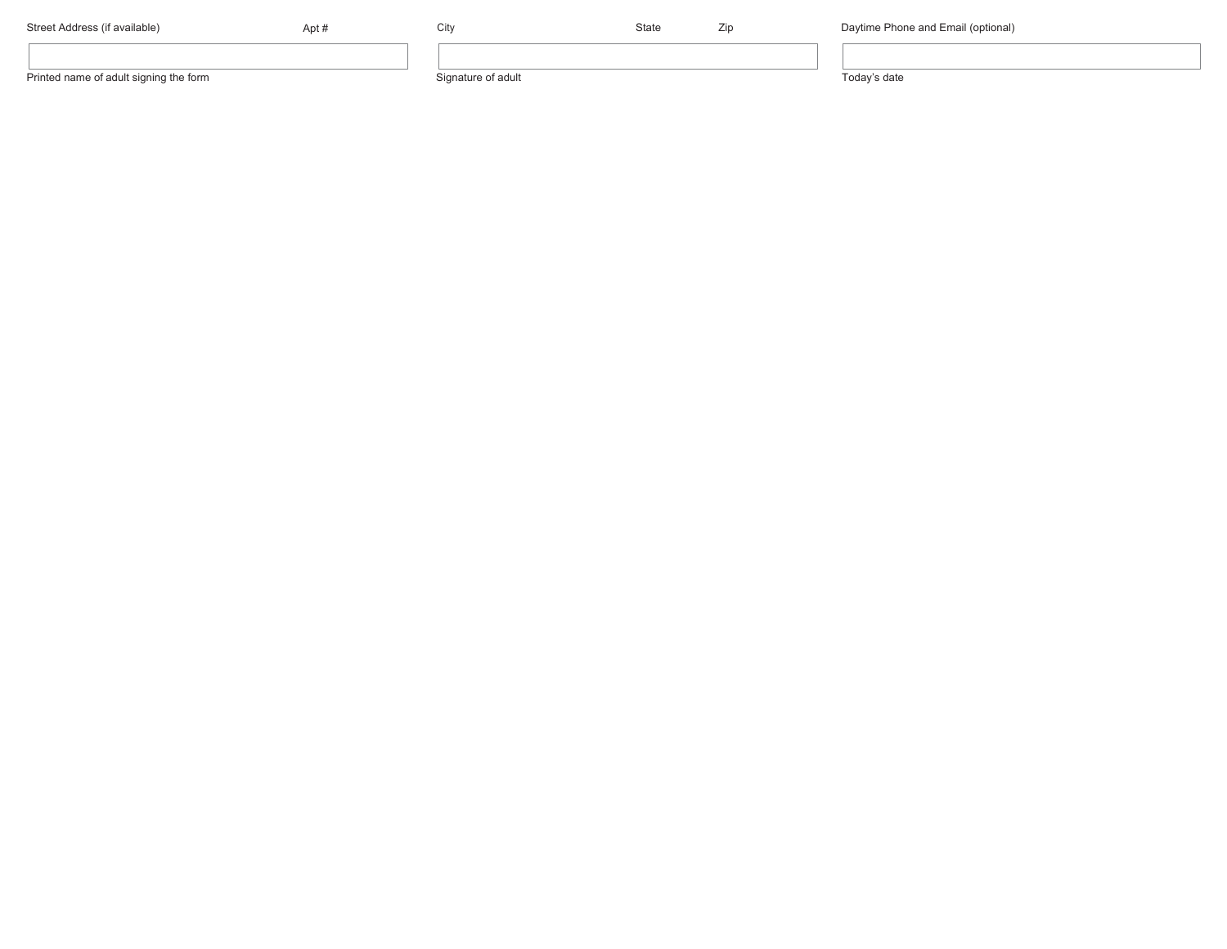| Street Address (if available)          | ∪ltv               | State | ۷IJ | Daytime Phone and Email (optional) |
|----------------------------------------|--------------------|-------|-----|------------------------------------|
|                                        |                    |       |     |                                    |
| Printed name of adult signing the form | Signature of adult |       |     | odav's date                        |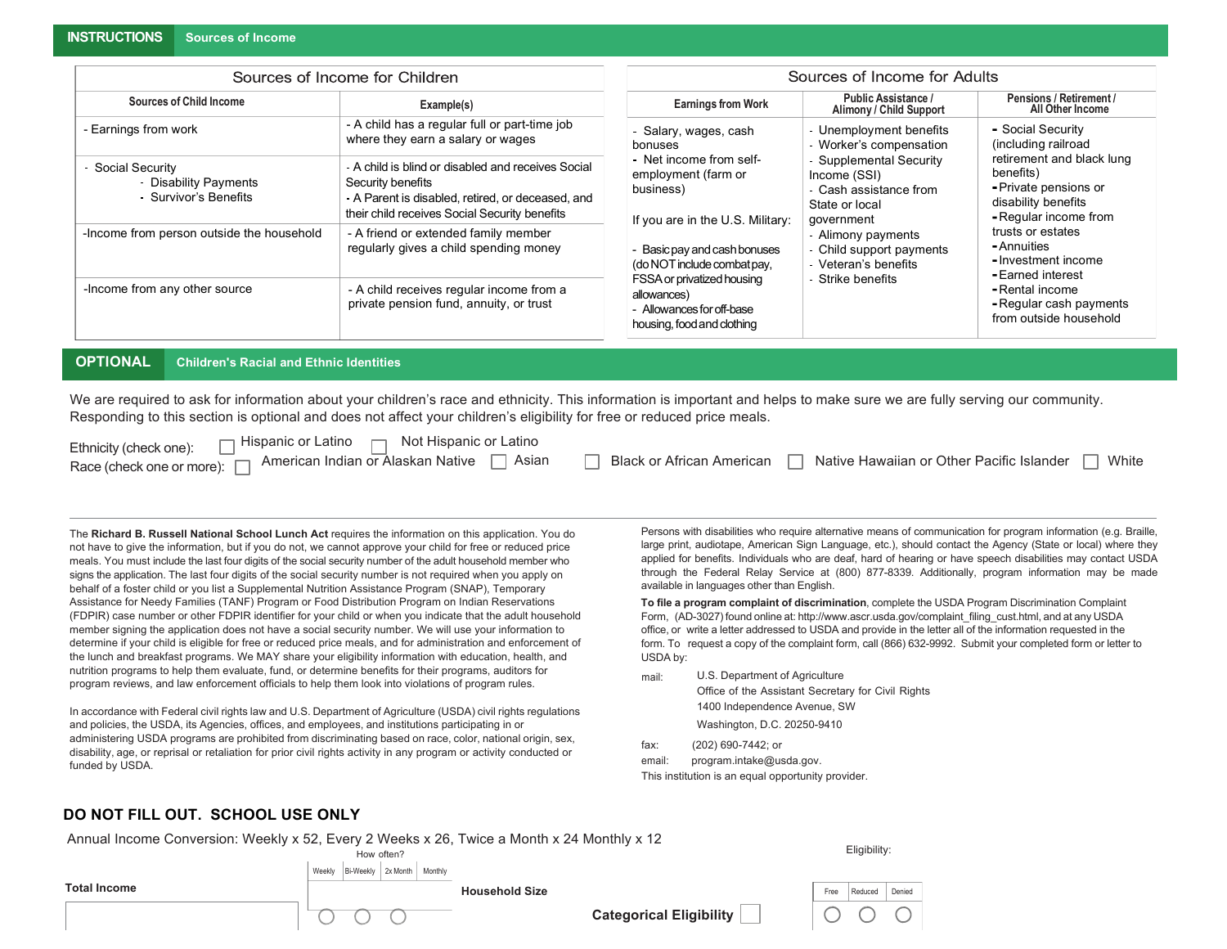**INSTRUCTIONS Sources of Income**

|                                                                      | Sources of Income for Children                                                                                                                                                | Sources of Income for Adults                                                                         |                                                                                                 |                                                                                                                 |  |  |  |
|----------------------------------------------------------------------|-------------------------------------------------------------------------------------------------------------------------------------------------------------------------------|------------------------------------------------------------------------------------------------------|-------------------------------------------------------------------------------------------------|-----------------------------------------------------------------------------------------------------------------|--|--|--|
| <b>Sources of Child Income</b>                                       | Example(s)                                                                                                                                                                    | <b>Earnings from Work</b>                                                                            | Public Assistance /<br>Alimony / Child Support                                                  | Pensions / Retirement /<br>All Other Income                                                                     |  |  |  |
| - Earnings from work                                                 | - A child has a regular full or part-time job<br>where they earn a salary or wages                                                                                            |                                                                                                      | Unemployment benefits<br>Worker's compensation                                                  | - Social Security<br>(including railroad                                                                        |  |  |  |
| Social Security<br><b>Disability Payments</b><br>Survivor's Benefits | - A child is blind or disabled and receives Social<br>Security benefits<br>- A Parent is disabled, retired, or deceased, and<br>their child receives Social Security benefits | Net income from self-<br>employment (farm or<br>business)<br>If you are in the U.S. Military:        | - Supplemental Security<br>Income (SSI)<br>Cash assistance from<br>State or local<br>government | retirement and black lung<br>benefits)<br>- Private pensions or<br>disability benefits<br>- Regular income from |  |  |  |
| -Income from person outside the household                            | - A friend or extended family member<br>regularly gives a child spending money                                                                                                | - Basic pay and cash bonuses<br>(do NOT include combat pay,                                          | Alimony payments<br>- Child support payments<br>Veteran's benefits                              | trusts or estates<br>- Annuities<br>- Investment income<br>- Earned interest                                    |  |  |  |
| -Income from any other source                                        | - A child receives regular income from a<br>private pension fund, annuity, or trust                                                                                           | FSSA or privatized housing<br>allowances)<br>- Allowances for off-base<br>housing, food and clothing | Strike benefits                                                                                 | - Rental income<br>- Regular cash payments<br>from outside household                                            |  |  |  |

**OPTIONAL Children's Racial and Ethnic Identities**

We are required to ask for information about your children's race and ethnicity. This information is important and helps to make sure we are fully serving our community. Responding to this section is optional and does not affect your children's eligibility for free or reduced price meals.

| Hispanic or Latino □ Not Hispanic or Latino<br>Ethnicity (check one):         |                                                                                       |
|-------------------------------------------------------------------------------|---------------------------------------------------------------------------------------|
| American Indian or Alaskan Native □ Asian<br>Race (check one or more): $\Box$ | □ Native Hawaiian or Other Pacific Islander [<br>Black or African American  <br>White |

The **Richard B. Russell National School Lunch Act** requires the information on this application. You do not have to give the information, but if you do not, we cannot approve your child for free or reduced price meals. You must include the last four digits of the social security number of the adult household member who signs the application. The last four digits of the social security number is not required when you apply on behalf of a foster child or you list a Supplemental Nutrition Assistance Program (SNAP), Temporary Assistance for Needy Families (TANF) Program or Food Distribution Program on Indian Reservations (FDPIR) case number or other FDPIR identifier for your child or when you indicate that the adult household member signing the application does not have a social security number. We will use your information to determine if your child is eligible for free or reduced price meals, and for administration and enforcement of the lunch and breakfast programs. We MAY share your eligibility information with education, health, and nutrition programs to help them evaluate, fund, or determine benefits for their programs, auditors for program reviews, and law enforcement officials to help them look into violations of program rules.

In accordance with Federal civil rights law and U.S. Department of Agriculture (USDA) civil rights regulations and policies, the USDA, its Agencies, offices, and employees, and institutions participating in or administering USDA programs are prohibited from discriminating based on race, color, national origin, sex, disability, age, or reprisal or retaliation for prior civil rights activity in any program or activity conducted or funded by USDA.

Persons with disabilities who require alternative means of communication for program information (e.g. Braille, large print, audiotape, American Sign Language, etc.), should contact the Agency (State or local) where they applied for benefits. Individuals who are deaf, hard of hearing or have speech disabilities may contact USDA through the Federal Relay Service at (800) 877-8339. Additionally, program information may be made available in languages other than English.

**To file a program complaint of discrimination**, complete the USDA Program Discrimination Complaint Form, (AD-3027) found online at: http://www.ascr.usda.gov/complaint\_filing\_cust.html, and at any USDA office, or write a letter addressed to USDA and provide in the letter all of the information requested in the form. To request a copy of the complaint form, call (866) 632-9992. Submit your completed form or letter to USDA by:

- mail: U.S. Department of Agriculture Office of the Assistant Secretary for Civil Rights 1400 Independence Avenue, SW Washington, D.C. 20250-9410
- fax: (202) 690-7442; or

email: program.intake@usda.gov. This institution is an equal opportunity provider.

## **DO NOT FILL OUT. SCHOOL USE ONLY**

Annual Income Conversion: Weekly x 52, Every 2 Weeks x 26, Twice a Month x 24 Monthly x 12

|                     | .<br>$ \sim$<br>How often?                 | $\sim$ $\sim$ $\sim$ $\sim$ $\sim$ $\sim$ $\sim$ |                                |      | Eligibility: |        |
|---------------------|--------------------------------------------|--------------------------------------------------|--------------------------------|------|--------------|--------|
|                     | 2x Month<br>Bi-Weekly<br>Monthly<br>Weekly |                                                  |                                |      |              |        |
| <b>Total Income</b> |                                            | <b>Household Size</b>                            |                                | Free | Reduced      | Denied |
|                     | ∽                                          |                                                  | <b>Categorical Eligibility</b> |      |              | ∽      |